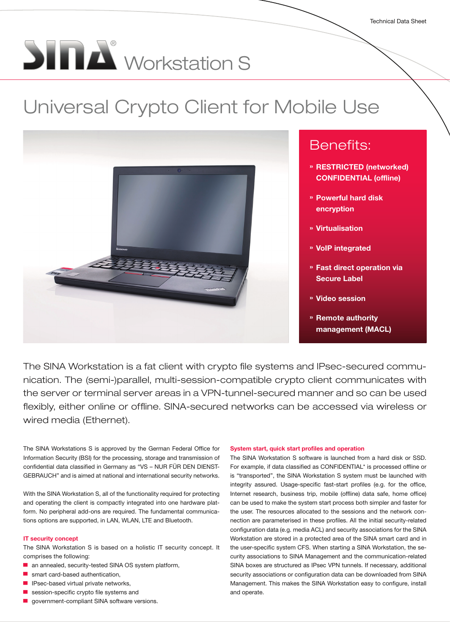# **SINA** Workstation S

# Universal Crypto Client for Mobile Use



# Benefits:

- » RESTRICTED (networked) CONFIDENTIAL (offline)
- » Powerful hard disk encryption
- » Virtualisation
- » VoIP integrated
- » Fast direct operation via Secure Label
- » Video session
- » Remote authority management (MACL)

The SINA Workstation is a fat client with crypto file systems and IPsec-secured communication. The (semi-)parallel, multi-session-compatible crypto client communicates with the server or terminal server areas in a VPN-tunnel-secured manner and so can be used flexibly, either online or offline. SINA-secured networks can be accessed via wireless or wired media (Ethernet).

The SINA Workstations S is approved by the German Federal Office for Information Security (BSI) for the processing, storage and transmission of confidential data classified in Germany as "VS – NUR FÜR DEN DIENST-GEBRAUCH" and is aimed at national and international security networks.

With the SINA Workstation S, all of the functionality required for protecting and operating the client is compactly integrated into one hardware platform. No peripheral add-ons are required. The fundamental communications options are supported, in LAN, WLAN, LTE and Bluetooth.

#### IT security concept

The SINA Workstation S is based on a holistic IT security concept. It comprises the following:

- an annealed, security-tested SINA OS system platform,
- smart card-based authentication,
- IPsec-based virtual private networks,
- session-specific crypto file systems and
- government-compliant SINA software versions.

#### System start, quick start profiles and operation

The SINA Workstation S software is launched from a hard disk or SSD. For example, if data classified as CONFIDENTIAL\* is processed offline or is "transported", the SINA Workstation S system must be launched with integrity assured. Usage-specific fast-start profiles (e.g. for the office, Internet research, business trip, mobile (offline) data safe, home office) can be used to make the system start process both simpler and faster for the user. The resources allocated to the sessions and the network connection are parameterised in these profiles. All the initial security-related configuration data (e.g. media ACL) and security associations for the SINA Workstation are stored in a protected area of the SINA smart card and in the user-specific system CFS. When starting a SINA Workstation, the security associations to SINA Management and the communication-related SINA boxes are structured as IPsec VPN tunnels. If necessary, additional security associations or configuration data can be downloaded from SINA Management. This makes the SINA Workstation easy to configure, install and operate.